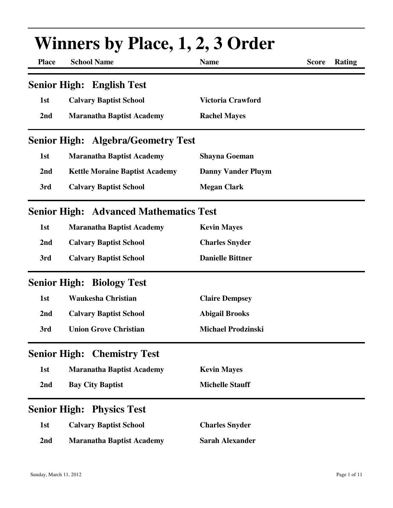| <b>Winners by Place, 1, 2, 3 Order</b> |                                               |                           |              |        |  |
|----------------------------------------|-----------------------------------------------|---------------------------|--------------|--------|--|
| <b>Place</b>                           | <b>School Name</b>                            | <b>Name</b>               | <b>Score</b> | Rating |  |
|                                        | <b>Senior High: English Test</b>              |                           |              |        |  |
| 1st                                    | <b>Calvary Baptist School</b>                 | Victoria Crawford         |              |        |  |
| 2nd                                    | <b>Maranatha Baptist Academy</b>              | <b>Rachel Mayes</b>       |              |        |  |
|                                        | <b>Senior High: Algebra/Geometry Test</b>     |                           |              |        |  |
| 1st                                    | <b>Maranatha Baptist Academy</b>              | <b>Shayna Goeman</b>      |              |        |  |
| 2nd                                    | <b>Kettle Moraine Baptist Academy</b>         | <b>Danny Vander Pluym</b> |              |        |  |
| 3rd                                    | <b>Calvary Baptist School</b>                 | <b>Megan Clark</b>        |              |        |  |
|                                        | <b>Senior High: Advanced Mathematics Test</b> |                           |              |        |  |
| 1st                                    | <b>Maranatha Baptist Academy</b>              | <b>Kevin Mayes</b>        |              |        |  |
| 2nd                                    | <b>Calvary Baptist School</b>                 | <b>Charles Snyder</b>     |              |        |  |
| 3rd                                    | <b>Calvary Baptist School</b>                 | <b>Danielle Bittner</b>   |              |        |  |
|                                        | <b>Senior High: Biology Test</b>              |                           |              |        |  |
| 1st                                    | <b>Waukesha Christian</b>                     | <b>Claire Dempsey</b>     |              |        |  |
| 2nd                                    | <b>Calvary Baptist School</b>                 | <b>Abigail Brooks</b>     |              |        |  |
| 3rd                                    | <b>Union Grove Christian</b>                  | <b>Michael Prodzinski</b> |              |        |  |
|                                        | <b>Senior High: Chemistry Test</b>            |                           |              |        |  |
| 1st                                    | <b>Maranatha Baptist Academy</b>              | <b>Kevin Mayes</b>        |              |        |  |
| 2nd                                    | <b>Bay City Baptist</b>                       | <b>Michelle Stauff</b>    |              |        |  |
| <b>Senior High:</b>                    | <b>Physics Test</b>                           |                           |              |        |  |
| 1st                                    | <b>Calvary Baptist School</b>                 | <b>Charles Snyder</b>     |              |        |  |
| 2nd                                    | <b>Maranatha Baptist Academy</b>              | <b>Sarah Alexander</b>    |              |        |  |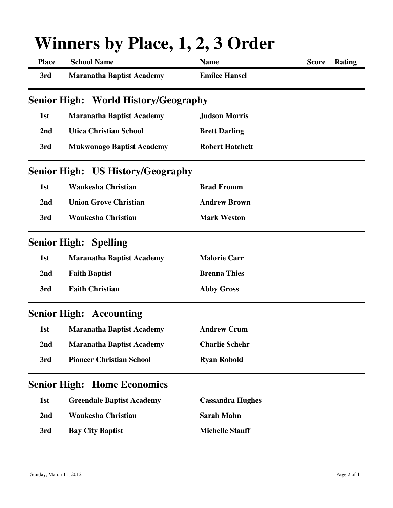| <b>Winners by Place, 1, 2, 3 Order</b> |                                          |                         |              |               |  |
|----------------------------------------|------------------------------------------|-------------------------|--------------|---------------|--|
| <b>Place</b>                           | <b>School Name</b>                       | <b>Name</b>             | <b>Score</b> | <b>Rating</b> |  |
| 3rd                                    | <b>Maranatha Baptist Academy</b>         | <b>Emilee Hansel</b>    |              |               |  |
|                                        | Senior High: World History/Geography     |                         |              |               |  |
| 1st                                    | <b>Maranatha Baptist Academy</b>         | <b>Judson Morris</b>    |              |               |  |
| 2nd                                    | <b>Utica Christian School</b>            | <b>Brett Darling</b>    |              |               |  |
| 3rd                                    | <b>Mukwonago Baptist Academy</b>         | <b>Robert Hatchett</b>  |              |               |  |
|                                        | <b>Senior High: US History/Geography</b> |                         |              |               |  |
| 1st                                    | <b>Waukesha Christian</b>                | <b>Brad Fromm</b>       |              |               |  |
| 2nd                                    | <b>Union Grove Christian</b>             | <b>Andrew Brown</b>     |              |               |  |
| 3rd                                    | <b>Waukesha Christian</b>                | <b>Mark Weston</b>      |              |               |  |
|                                        | <b>Senior High: Spelling</b>             |                         |              |               |  |
| 1st                                    | <b>Maranatha Baptist Academy</b>         | <b>Malorie Carr</b>     |              |               |  |
| 2nd                                    | <b>Faith Baptist</b>                     | <b>Brenna Thies</b>     |              |               |  |
| 3rd                                    | <b>Faith Christian</b>                   | <b>Abby Gross</b>       |              |               |  |
|                                        | <b>Senior High: Accounting</b>           |                         |              |               |  |
| 1st                                    | <b>Maranatha Baptist Academy</b>         | <b>Andrew Crum</b>      |              |               |  |
| 2 <sub>nd</sub>                        | <b>Maranatha Baptist Academy</b>         | <b>Charlie Schehr</b>   |              |               |  |
| 3rd                                    | <b>Pioneer Christian School</b>          | <b>Ryan Robold</b>      |              |               |  |
| <b>Senior High:</b>                    | <b>Home Economics</b>                    |                         |              |               |  |
| 1st                                    | <b>Greendale Baptist Academy</b>         | <b>Cassandra Hughes</b> |              |               |  |
| 2nd                                    | <b>Waukesha Christian</b>                | <b>Sarah Mahn</b>       |              |               |  |
| 3rd                                    | <b>Bay City Baptist</b>                  | <b>Michelle Stauff</b>  |              |               |  |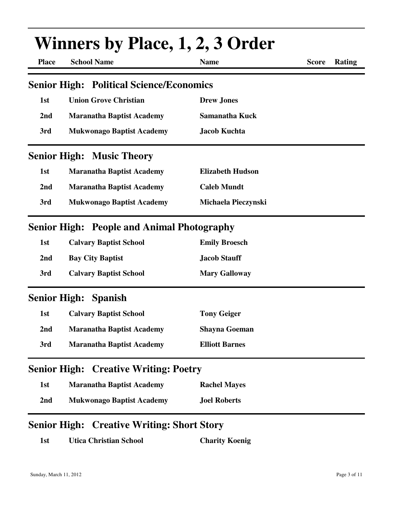| <b>Winners by Place, 1, 2, 3 Order</b> |                                                   |                         |                               |  |  |
|----------------------------------------|---------------------------------------------------|-------------------------|-------------------------------|--|--|
| <b>Place</b>                           | <b>School Name</b>                                | <b>Name</b>             | <b>Rating</b><br><b>Score</b> |  |  |
|                                        | <b>Senior High: Political Science/Economics</b>   |                         |                               |  |  |
| 1st                                    | <b>Union Grove Christian</b>                      | <b>Drew Jones</b>       |                               |  |  |
| 2nd                                    | <b>Maranatha Baptist Academy</b>                  | <b>Samanatha Kuck</b>   |                               |  |  |
| 3rd                                    | <b>Mukwonago Baptist Academy</b>                  | <b>Jacob Kuchta</b>     |                               |  |  |
|                                        | <b>Senior High: Music Theory</b>                  |                         |                               |  |  |
| 1st                                    | <b>Maranatha Baptist Academy</b>                  | <b>Elizabeth Hudson</b> |                               |  |  |
| 2nd                                    | <b>Maranatha Baptist Academy</b>                  | <b>Caleb Mundt</b>      |                               |  |  |
| 3rd                                    | <b>Mukwonago Baptist Academy</b>                  | Michaela Pieczynski     |                               |  |  |
|                                        | <b>Senior High: People and Animal Photography</b> |                         |                               |  |  |
| 1st                                    | <b>Calvary Baptist School</b>                     | <b>Emily Broesch</b>    |                               |  |  |
| 2nd                                    | <b>Bay City Baptist</b>                           | <b>Jacob Stauff</b>     |                               |  |  |
| 3rd                                    | <b>Calvary Baptist School</b>                     | <b>Mary Galloway</b>    |                               |  |  |
|                                        | Senior High: Spanish                              |                         |                               |  |  |
| 1st                                    | <b>Calvary Baptist School</b>                     | <b>Tony Geiger</b>      |                               |  |  |
| 2 <sub>nd</sub>                        | <b>Maranatha Baptist Academy</b>                  | <b>Shayna Goeman</b>    |                               |  |  |
| 3rd                                    | <b>Maranatha Baptist Academy</b>                  | <b>Elliott Barnes</b>   |                               |  |  |
|                                        | <b>Senior High: Creative Writing: Poetry</b>      |                         |                               |  |  |
| 1st                                    | <b>Maranatha Baptist Academy</b>                  | <b>Rachel Mayes</b>     |                               |  |  |
| 2 <sub>nd</sub>                        | <b>Mukwonago Baptist Academy</b>                  | <b>Joel Roberts</b>     |                               |  |  |
|                                        | <b>Senior High: Creative Writing: Short Story</b> |                         |                               |  |  |

**1st Utica Christian School Charity Koenig**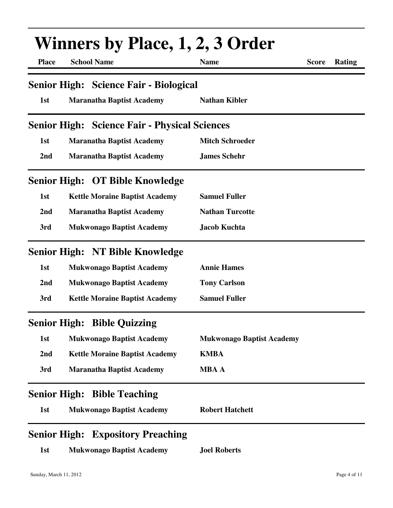| <b>Winners by Place, 1, 2, 3 Order</b> |                                                      |                                  |              |        |  |  |
|----------------------------------------|------------------------------------------------------|----------------------------------|--------------|--------|--|--|
| <b>Place</b>                           | <b>School Name</b>                                   | <b>Name</b>                      | <b>Score</b> | Rating |  |  |
|                                        | <b>Senior High: Science Fair - Biological</b>        |                                  |              |        |  |  |
| 1st                                    | <b>Maranatha Baptist Academy</b>                     | <b>Nathan Kibler</b>             |              |        |  |  |
|                                        | <b>Senior High: Science Fair - Physical Sciences</b> |                                  |              |        |  |  |
| 1st                                    | <b>Maranatha Baptist Academy</b>                     | <b>Mitch Schroeder</b>           |              |        |  |  |
| 2nd                                    | <b>Maranatha Baptist Academy</b>                     | <b>James Schehr</b>              |              |        |  |  |
|                                        | Senior High: OT Bible Knowledge                      |                                  |              |        |  |  |
| 1st                                    | <b>Kettle Moraine Baptist Academy</b>                | <b>Samuel Fuller</b>             |              |        |  |  |
| 2nd                                    | <b>Maranatha Baptist Academy</b>                     | <b>Nathan Turcotte</b>           |              |        |  |  |
| 3rd                                    | <b>Mukwonago Baptist Academy</b>                     | <b>Jacob Kuchta</b>              |              |        |  |  |
|                                        | Senior High: NT Bible Knowledge                      |                                  |              |        |  |  |
| 1st                                    | <b>Mukwonago Baptist Academy</b>                     | <b>Annie Hames</b>               |              |        |  |  |
| 2nd                                    | <b>Mukwonago Baptist Academy</b>                     | <b>Tony Carlson</b>              |              |        |  |  |
| 3rd                                    | <b>Kettle Moraine Baptist Academy</b>                | <b>Samuel Fuller</b>             |              |        |  |  |
|                                        | <b>Senior High: Bible Quizzing</b>                   |                                  |              |        |  |  |
| 1st                                    | <b>Mukwonago Baptist Academy</b>                     | <b>Mukwonago Baptist Academy</b> |              |        |  |  |
| 2 <sub>nd</sub>                        | <b>Kettle Moraine Baptist Academy</b>                | <b>KMBA</b>                      |              |        |  |  |
| 3rd                                    | <b>Maranatha Baptist Academy</b>                     | <b>MBA A</b>                     |              |        |  |  |
| <b>Senior High:</b>                    | <b>Bible Teaching</b>                                |                                  |              |        |  |  |
| 1st                                    | <b>Mukwonago Baptist Academy</b>                     | <b>Robert Hatchett</b>           |              |        |  |  |
| <b>Senior High:</b>                    | <b>Expository Preaching</b>                          |                                  |              |        |  |  |
| 1st                                    | <b>Mukwonago Baptist Academy</b>                     | <b>Joel Roberts</b>              |              |        |  |  |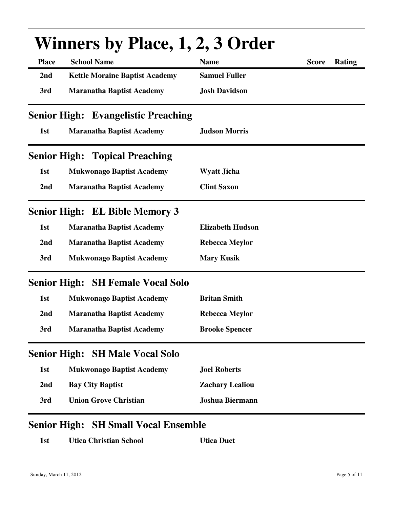| Winners by Place, 1, 2, 3 Order |                                            |                         |                               |  |  |  |
|---------------------------------|--------------------------------------------|-------------------------|-------------------------------|--|--|--|
| <b>Place</b>                    | <b>School Name</b>                         | <b>Name</b>             | <b>Rating</b><br><b>Score</b> |  |  |  |
| 2nd                             | <b>Kettle Moraine Baptist Academy</b>      | <b>Samuel Fuller</b>    |                               |  |  |  |
| 3rd                             | <b>Maranatha Baptist Academy</b>           | <b>Josh Davidson</b>    |                               |  |  |  |
|                                 | <b>Senior High: Evangelistic Preaching</b> |                         |                               |  |  |  |
| 1st                             | <b>Maranatha Baptist Academy</b>           | <b>Judson Morris</b>    |                               |  |  |  |
|                                 | <b>Senior High: Topical Preaching</b>      |                         |                               |  |  |  |
| 1st                             | <b>Mukwonago Baptist Academy</b>           | <b>Wyatt Jicha</b>      |                               |  |  |  |
| 2nd                             | <b>Maranatha Baptist Academy</b>           | <b>Clint Saxon</b>      |                               |  |  |  |
|                                 | <b>Senior High: EL Bible Memory 3</b>      |                         |                               |  |  |  |
| 1st                             | <b>Maranatha Baptist Academy</b>           | <b>Elizabeth Hudson</b> |                               |  |  |  |
| 2nd                             | <b>Maranatha Baptist Academy</b>           | <b>Rebecca Meylor</b>   |                               |  |  |  |
| 3rd                             | <b>Mukwonago Baptist Academy</b>           | <b>Mary Kusik</b>       |                               |  |  |  |
|                                 | <b>Senior High: SH Female Vocal Solo</b>   |                         |                               |  |  |  |
| 1st                             | <b>Mukwonago Baptist Academy</b>           | <b>Britan Smith</b>     |                               |  |  |  |
| 2nd                             | <b>Maranatha Baptist Academy</b>           | <b>Rebecca Meylor</b>   |                               |  |  |  |
| 3rd                             | <b>Maranatha Baptist Academy</b>           | <b>Brooke Spencer</b>   |                               |  |  |  |
|                                 | <b>Senior High: SH Male Vocal Solo</b>     |                         |                               |  |  |  |
| 1st                             | <b>Mukwonago Baptist Academy</b>           | <b>Joel Roberts</b>     |                               |  |  |  |
| 2nd                             | <b>Bay City Baptist</b>                    | <b>Zachary Lealiou</b>  |                               |  |  |  |
| 3rd                             | <b>Union Grove Christian</b>               | <b>Joshua Biermann</b>  |                               |  |  |  |
|                                 |                                            |                         |                               |  |  |  |

### **Winners by Place, 1, 2, 3 Order**

#### **Senior High: SH Small Vocal Ensemble**

| <b>Utica Duet</b> |
|-------------------|
|                   |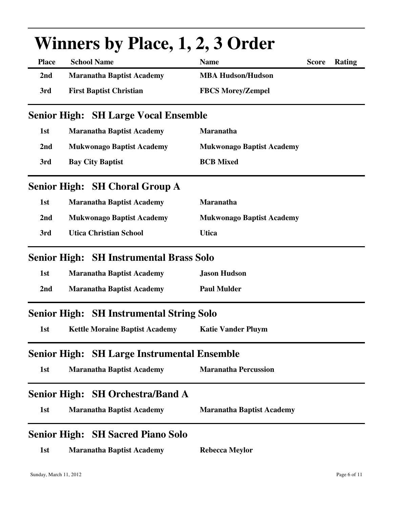| <b>Winners by Place, 1, 2, 3 Order</b> |                                             |                                  |              |        |  |  |
|----------------------------------------|---------------------------------------------|----------------------------------|--------------|--------|--|--|
| <b>Place</b>                           | <b>School Name</b>                          | <b>Name</b>                      | <b>Score</b> | Rating |  |  |
| 2nd                                    | <b>Maranatha Baptist Academy</b>            | <b>MBA Hudson/Hudson</b>         |              |        |  |  |
| 3rd                                    | <b>First Baptist Christian</b>              | <b>FBCS Morey/Zempel</b>         |              |        |  |  |
|                                        | <b>Senior High: SH Large Vocal Ensemble</b> |                                  |              |        |  |  |
| 1st                                    | <b>Maranatha Baptist Academy</b>            | <b>Maranatha</b>                 |              |        |  |  |
| 2nd                                    | <b>Mukwonago Baptist Academy</b>            | <b>Mukwonago Baptist Academy</b> |              |        |  |  |
| 3rd                                    | <b>Bay City Baptist</b>                     | <b>BCB</b> Mixed                 |              |        |  |  |
|                                        | Senior High: SH Choral Group A              |                                  |              |        |  |  |
| 1st                                    | <b>Maranatha Baptist Academy</b>            | <b>Maranatha</b>                 |              |        |  |  |
| 2nd                                    | <b>Mukwonago Baptist Academy</b>            | <b>Mukwonago Baptist Academy</b> |              |        |  |  |
| 3rd                                    | <b>Utica Christian School</b>               | <b>Utica</b>                     |              |        |  |  |
| <b>Senior High:</b>                    | <b>SH Instrumental Brass Solo</b>           |                                  |              |        |  |  |
| 1st                                    | <b>Maranatha Baptist Academy</b>            | <b>Jason Hudson</b>              |              |        |  |  |
| 2nd                                    | <b>Maranatha Baptist Academy</b>            | <b>Paul Mulder</b>               |              |        |  |  |
| <b>Senior High:</b>                    | <b>SH Instrumental String Solo</b>          |                                  |              |        |  |  |
| 1st                                    | <b>Kettle Moraine Baptist Academy</b>       | <b>Katie Vander Pluym</b>        |              |        |  |  |
| <b>Senior High:</b>                    | <b>SH Large Instrumental Ensemble</b>       |                                  |              |        |  |  |
| 1st                                    | <b>Maranatha Baptist Academy</b>            | <b>Maranatha Percussion</b>      |              |        |  |  |
|                                        | <b>Senior High: SH Orchestra/Band A</b>     |                                  |              |        |  |  |
| 1st                                    | <b>Maranatha Baptist Academy</b>            | <b>Maranatha Baptist Academy</b> |              |        |  |  |
| <b>Senior High:</b>                    | <b>SH Sacred Piano Solo</b>                 |                                  |              |        |  |  |
| 1st                                    | <b>Maranatha Baptist Academy</b>            | <b>Rebecca Meylor</b>            |              |        |  |  |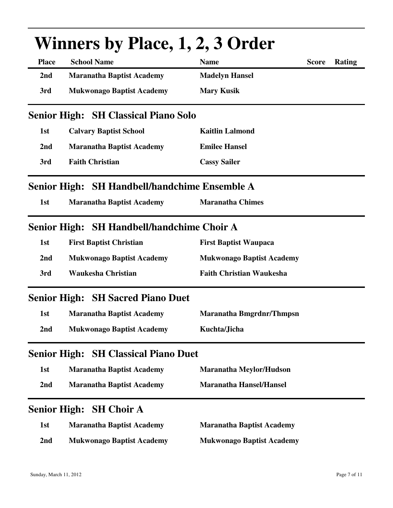| <b>Winners by Place, 1, 2, 3 Order</b> |                                               |                                  |              |        |  |  |
|----------------------------------------|-----------------------------------------------|----------------------------------|--------------|--------|--|--|
| <b>Place</b>                           | <b>School Name</b>                            | <b>Name</b>                      | <b>Score</b> | Rating |  |  |
| 2nd                                    | <b>Maranatha Baptist Academy</b>              | <b>Madelyn Hansel</b>            |              |        |  |  |
| 3rd                                    | <b>Mukwonago Baptist Academy</b>              | <b>Mary Kusik</b>                |              |        |  |  |
|                                        | <b>Senior High: SH Classical Piano Solo</b>   |                                  |              |        |  |  |
| 1st                                    | <b>Calvary Baptist School</b>                 | <b>Kaitlin Lalmond</b>           |              |        |  |  |
| 2nd                                    | <b>Maranatha Baptist Academy</b>              | <b>Emilee Hansel</b>             |              |        |  |  |
| 3rd                                    | <b>Faith Christian</b>                        | <b>Cassy Sailer</b>              |              |        |  |  |
|                                        | Senior High: SH Handbell/handchime Ensemble A |                                  |              |        |  |  |
| 1st                                    | <b>Maranatha Baptist Academy</b>              | <b>Maranatha Chimes</b>          |              |        |  |  |
|                                        | Senior High: SH Handbell/handchime Choir A    |                                  |              |        |  |  |
| 1st                                    | <b>First Baptist Christian</b>                | <b>First Baptist Waupaca</b>     |              |        |  |  |
| 2 <sub>nd</sub>                        | <b>Mukwonago Baptist Academy</b>              | <b>Mukwonago Baptist Academy</b> |              |        |  |  |
| 3rd                                    | <b>Waukesha Christian</b>                     | <b>Faith Christian Waukesha</b>  |              |        |  |  |
|                                        | <b>Senior High: SH Sacred Piano Duet</b>      |                                  |              |        |  |  |
| 1st                                    | <b>Maranatha Baptist Academy</b>              | Maranatha Bmgrdnr/Thmpsn         |              |        |  |  |
| 2 <sub>nd</sub>                        | <b>Mukwonago Baptist Academy</b>              | Kuchta/Jicha                     |              |        |  |  |
| <b>Senior High:</b>                    | <b>SH Classical Piano Duet</b>                |                                  |              |        |  |  |
| 1st                                    | <b>Maranatha Baptist Academy</b>              | <b>Maranatha Meylor/Hudson</b>   |              |        |  |  |
| 2nd                                    | <b>Maranatha Baptist Academy</b>              | <b>Maranatha Hansel/Hansel</b>   |              |        |  |  |
| <b>Senior High:</b>                    | <b>SH Choir A</b>                             |                                  |              |        |  |  |
| 1st                                    | <b>Maranatha Baptist Academy</b>              | <b>Maranatha Baptist Academy</b> |              |        |  |  |
| 2nd                                    | <b>Mukwonago Baptist Academy</b>              | <b>Mukwonago Baptist Academy</b> |              |        |  |  |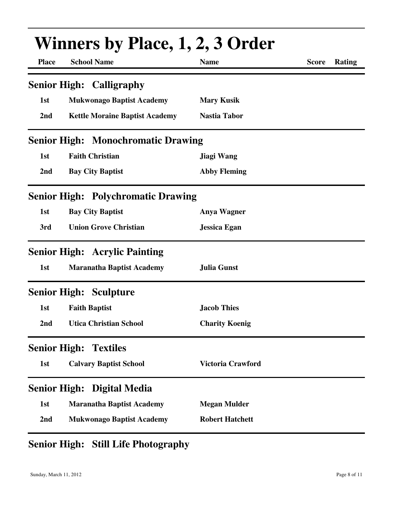|                     | <b>Winners by Place, 1, 2, 3 Order</b>    |                        |                        |  |  |  |
|---------------------|-------------------------------------------|------------------------|------------------------|--|--|--|
| <b>Place</b>        | <b>School Name</b>                        | <b>Name</b>            | <b>Score</b><br>Rating |  |  |  |
|                     | <b>Senior High: Calligraphy</b>           |                        |                        |  |  |  |
| 1st                 | <b>Mukwonago Baptist Academy</b>          | <b>Mary Kusik</b>      |                        |  |  |  |
| 2 <sub>nd</sub>     | <b>Kettle Moraine Baptist Academy</b>     | <b>Nastia Tabor</b>    |                        |  |  |  |
|                     | <b>Senior High: Monochromatic Drawing</b> |                        |                        |  |  |  |
| 1st                 | <b>Faith Christian</b>                    | Jiagi Wang             |                        |  |  |  |
| 2nd                 | <b>Bay City Baptist</b>                   | <b>Abby Fleming</b>    |                        |  |  |  |
|                     | <b>Senior High: Polychromatic Drawing</b> |                        |                        |  |  |  |
| 1st                 | <b>Bay City Baptist</b>                   | <b>Anya Wagner</b>     |                        |  |  |  |
| 3rd                 | <b>Union Grove Christian</b>              | <b>Jessica Egan</b>    |                        |  |  |  |
|                     | <b>Senior High: Acrylic Painting</b>      |                        |                        |  |  |  |
| 1st                 | <b>Maranatha Baptist Academy</b>          | <b>Julia Gunst</b>     |                        |  |  |  |
|                     | <b>Senior High: Sculpture</b>             |                        |                        |  |  |  |
| 1st                 | <b>Faith Baptist</b>                      | <b>Jacob Thies</b>     |                        |  |  |  |
| 2 <sub>nd</sub>     | <b>Utica Christian School</b>             | <b>Charity Koenig</b>  |                        |  |  |  |
|                     | <b>Senior High: Textiles</b>              |                        |                        |  |  |  |
| 1st                 | <b>Calvary Baptist School</b>             | Victoria Crawford      |                        |  |  |  |
| <b>Senior High:</b> | Digital Media                             |                        |                        |  |  |  |
| 1st                 | <b>Maranatha Baptist Academy</b>          | <b>Megan Mulder</b>    |                        |  |  |  |
| 2nd                 | <b>Mukwonago Baptist Academy</b>          | <b>Robert Hatchett</b> |                        |  |  |  |

### **Senior High: Still Life Photography**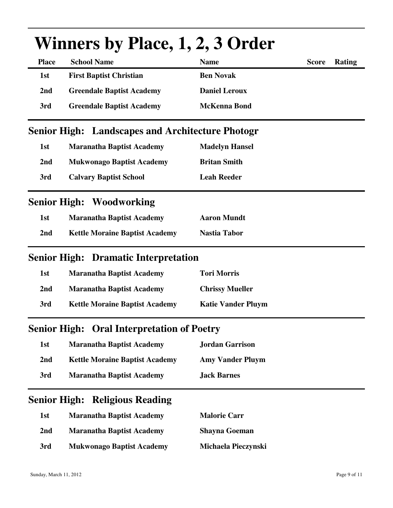|                     | WHITELS DY FIACE, 1, 4, 5 OFTER                         |                           |              |               |
|---------------------|---------------------------------------------------------|---------------------------|--------------|---------------|
| <b>Place</b>        | <b>School Name</b>                                      | <b>Name</b>               | <b>Score</b> | <b>Rating</b> |
| 1st                 | <b>First Baptist Christian</b>                          | <b>Ben Novak</b>          |              |               |
| 2nd                 | <b>Greendale Baptist Academy</b>                        | <b>Daniel Leroux</b>      |              |               |
| 3rd                 | <b>Greendale Baptist Academy</b>                        | <b>McKenna Bond</b>       |              |               |
|                     | <b>Senior High: Landscapes and Architecture Photogr</b> |                           |              |               |
| 1st                 | <b>Maranatha Baptist Academy</b>                        | <b>Madelyn Hansel</b>     |              |               |
| 2 <sub>nd</sub>     | <b>Mukwonago Baptist Academy</b>                        | <b>Britan Smith</b>       |              |               |
| 3rd                 | <b>Calvary Baptist School</b>                           | <b>Leah Reeder</b>        |              |               |
|                     | <b>Senior High: Woodworking</b>                         |                           |              |               |
| 1st                 | <b>Maranatha Baptist Academy</b>                        | <b>Aaron Mundt</b>        |              |               |
| 2nd                 | <b>Kettle Moraine Baptist Academy</b>                   | <b>Nastia Tabor</b>       |              |               |
|                     | <b>Senior High: Dramatic Interpretation</b>             |                           |              |               |
| 1st                 | <b>Maranatha Baptist Academy</b>                        | <b>Tori Morris</b>        |              |               |
| 2nd                 | <b>Maranatha Baptist Academy</b>                        | <b>Chrissy Mueller</b>    |              |               |
| 3rd                 | <b>Kettle Moraine Baptist Academy</b>                   | <b>Katie Vander Pluym</b> |              |               |
| <b>Senior High:</b> | <b>Oral Interpretation of Poetry</b>                    |                           |              |               |
| 1st                 | <b>Maranatha Baptist Academy</b>                        | <b>Jordan Garrison</b>    |              |               |
| 2 <sub>nd</sub>     | <b>Kettle Moraine Baptist Academy</b>                   | <b>Amy Vander Pluym</b>   |              |               |
| 3rd                 | <b>Maranatha Baptist Academy</b>                        | <b>Jack Barnes</b>        |              |               |
|                     | <b>Senior High: Religious Reading</b>                   |                           |              |               |
| 1st                 | <b>Maranatha Baptist Academy</b>                        | <b>Malorie Carr</b>       |              |               |
| 2 <sub>nd</sub>     | <b>Maranatha Baptist Academy</b>                        | <b>Shayna Goeman</b>      |              |               |
| 3rd                 | <b>Mukwonago Baptist Academy</b>                        | Michaela Pieczynski       |              |               |

# Winners by Place, 1, 2, 3 Order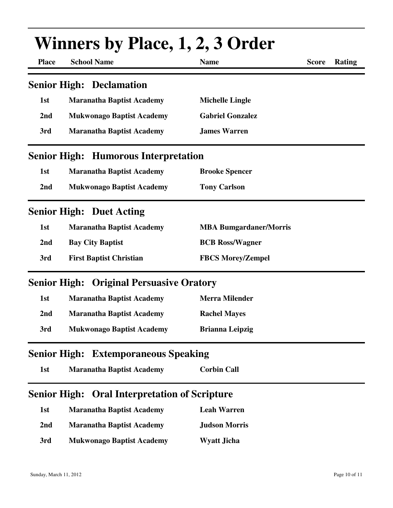|              | <b>Winners by Place, 1, 2, 3 Order</b>               |                               |              |               |  |  |  |
|--------------|------------------------------------------------------|-------------------------------|--------------|---------------|--|--|--|
| <b>Place</b> | <b>School Name</b>                                   | <b>Name</b>                   | <b>Score</b> | <b>Rating</b> |  |  |  |
|              | <b>Senior High: Declamation</b>                      |                               |              |               |  |  |  |
| 1st          | <b>Maranatha Baptist Academy</b>                     | <b>Michelle Lingle</b>        |              |               |  |  |  |
| 2nd          | <b>Mukwonago Baptist Academy</b>                     | <b>Gabriel Gonzalez</b>       |              |               |  |  |  |
| 3rd          | <b>Maranatha Baptist Academy</b>                     | <b>James Warren</b>           |              |               |  |  |  |
|              | <b>Senior High: Humorous Interpretation</b>          |                               |              |               |  |  |  |
| 1st          | <b>Maranatha Baptist Academy</b>                     | <b>Brooke Spencer</b>         |              |               |  |  |  |
| 2nd          | <b>Mukwonago Baptist Academy</b>                     | <b>Tony Carlson</b>           |              |               |  |  |  |
|              | <b>Senior High: Duet Acting</b>                      |                               |              |               |  |  |  |
| 1st          | <b>Maranatha Baptist Academy</b>                     | <b>MBA Bumgardaner/Morris</b> |              |               |  |  |  |
| 2nd          | <b>Bay City Baptist</b>                              | <b>BCB Ross/Wagner</b>        |              |               |  |  |  |
| 3rd          | <b>First Baptist Christian</b>                       | <b>FBCS Morey/Zempel</b>      |              |               |  |  |  |
|              | <b>Senior High: Original Persuasive Oratory</b>      |                               |              |               |  |  |  |
| 1st          | <b>Maranatha Baptist Academy</b>                     | <b>Merra Milender</b>         |              |               |  |  |  |
| 2nd          | <b>Maranatha Baptist Academy</b>                     | <b>Rachel Mayes</b>           |              |               |  |  |  |
| 3rd          | <b>Mukwonago Baptist Academy</b>                     | <b>Brianna Leipzig</b>        |              |               |  |  |  |
|              | <b>Senior High: Extemporaneous Speaking</b>          |                               |              |               |  |  |  |
| 1st          | <b>Maranatha Baptist Academy</b>                     | <b>Corbin Call</b>            |              |               |  |  |  |
|              | <b>Senior High: Oral Interpretation of Scripture</b> |                               |              |               |  |  |  |
| 1st          | <b>Maranatha Baptist Academy</b>                     | <b>Leah Warren</b>            |              |               |  |  |  |
| 2nd          | <b>Maranatha Baptist Academy</b>                     | <b>Judson Morris</b>          |              |               |  |  |  |
| 3rd          | <b>Mukwonago Baptist Academy</b>                     | <b>Wyatt Jicha</b>            |              |               |  |  |  |